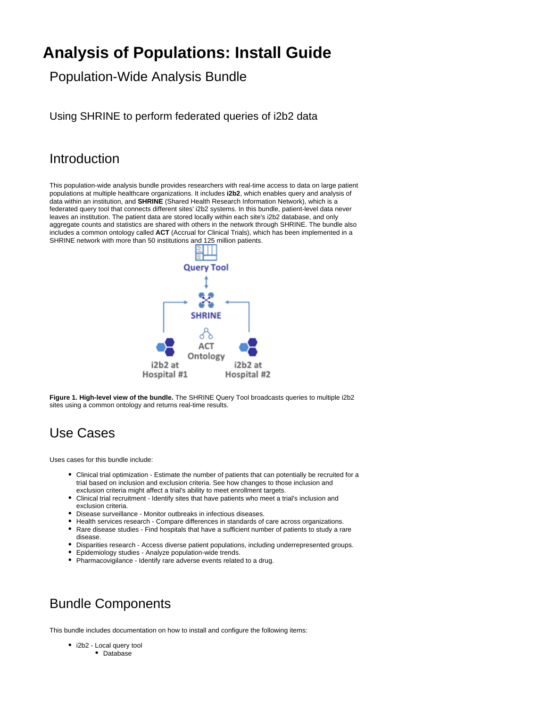# **Analysis of Populations: Install Guide**

Population-Wide Analysis Bundle

Using SHRINE to perform federated queries of i2b2 data

### Introduction

This population-wide analysis bundle provides researchers with real-time access to data on large patient populations at multiple healthcare organizations. It includes **i2b2**, which enables query and analysis of data within an institution, and **SHRINE** (Shared Health Research Information Network), which is a federated query tool that connects different sites' i2b2 systems. In this bundle, patient-level data never leaves an institution. The patient data are stored locally within each site's i2b2 database, and only aggregate counts and statistics are shared with others in the network through SHRINE. The bundle also includes a common ontology called **ACT** (Accrual for Clinical Trials), which has been implemented in a SHRINE network with more than 50 institutions and 125 million patients.



**Figure 1. High-level view of the bundle.** The SHRINE Query Tool broadcasts queries to multiple i2b2 sites using a common ontology and returns real-time results.

# Use Cases

Uses cases for this bundle include:

- Clinical trial optimization Estimate the number of patients that can potentially be recruited for a trial based on inclusion and exclusion criteria. See how changes to those inclusion and exclusion criteria might affect a trial's ability to meet enrollment targets.
- Clinical trial recruitment Identify sites that have patients who meet a trial's inclusion and exclusion criteria.
- Disease surveillance Monitor outbreaks in infectious diseases.
- Health services research Compare differences in standards of care across organizations. Rare disease studies - Find hospitals that have a sufficient number of patients to study a rare disease.
- Disparities research Access diverse patient populations, including underrepresented groups.
- Epidemiology studies Analyze population-wide trends.
- Pharmacovigilance Identify rare adverse events related to a drug.

### Bundle Components

This bundle includes documentation on how to install and configure the following items:

- i2b2 Local query tool
	- Database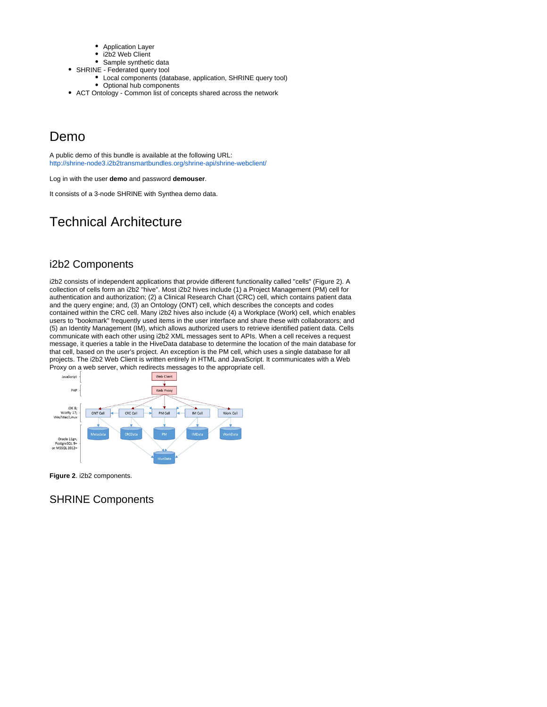- Application Layer
- i2b2 Web Client
- Sample synthetic data
- SHRINE Federated query tool
	- Local components (database, application, SHRINE query tool) • Optional hub components
- ACT Ontology Common list of concepts shared across the network

### Demo

A public demo of this bundle is available at the following URL: <http://shrine-node3.i2b2transmartbundles.org/shrine-api/shrine-webclient/>

Log in with the user **demo** and password **demouser**.

It consists of a 3-node SHRINE with Synthea demo data.

# Technical Architecture

### i2b2 Components

i2b2 consists of independent applications that provide different functionality called "cells" (Figure 2). A collection of cells form an i2b2 "hive". Most i2b2 hives include (1) a Project Management (PM) cell for authentication and authorization; (2) a Clinical Research Chart (CRC) cell, which contains patient data and the query engine; and, (3) an Ontology (ONT) cell, which describes the concepts and codes contained within the CRC cell. Many i2b2 hives also include (4) a Workplace (Work) cell, which enables users to "bookmark" frequently used items in the user interface and share these with collaborators; and (5) an Identity Management (IM), which allows authorized users to retrieve identified patient data. Cells communicate with each other using i2b2 XML messages sent to APIs. When a cell receives a request message, it queries a table in the HiveData database to determine the location of the main database for that cell, based on the user's project. An exception is the PM cell, which uses a single database for all projects. The i2b2 Web Client is written entirely in HTML and JavaScript. It communicates with a Web Proxy on a web server, which redirects messages to the appropriate cell.



**Figure 2**. i2b2 components.

### SHRINE Components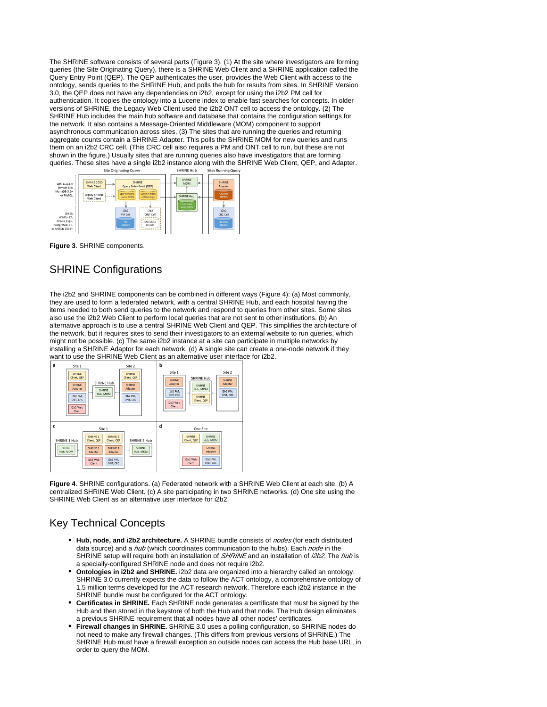The SHRINE software consists of several parts (Figure 3). (1) At the site where investigators are forming queries (the Site Originating Query), there is a SHRINE Web Client and a SHRINE application called the Query Entry Point (QEP). The QEP authenticates the user, provides the Web Client with access to the ontology, sends queries to the SHRINE Hub, and polls the hub for results from sites. In SHRINE Version 3.0, the QEP does not have any dependencies on i2b2, except for using the i2b2 PM cell for authentication. It copies the ontology into a Lucene index to enable fast searches for concepts. In older versions of SHRINE, the Legacy Web Client used the i2b2 ONT cell to access the ontology. (2) The SHRINE Hub includes the main hub software and database that contains the configuration settings for the network. It also contains a Message-Oriented Middleware (MOM) component to support asynchronous communication across sites. (3) The sites that are running the queries and returning aggregate counts contain a SHRINE Adapter. This polls the SHRINE MOM for new queries and runs them on an i2b2 CRC cell. (This CRC cell also requires a PM and ONT cell to run, but these are not shown in the figure.) Usually sites that are running queries also have investigators that are forming queries. These sites have a single i2b2 instance along with the SHRINE Web Client, QEP, and Adapter.



**Figure 3**. SHRINE components.

#### SHRINE Configurations

The i2b2 and SHRINE components can be combined in different ways (Figure 4): (a) Most commonly, they are used to form a federated network, with a central SHRINE Hub, and each hospital having the items needed to both send queries to the network and respond to queries from other sites. Some sites also use the i2b2 Web Client to perform local queries that are not sent to other institutions. (b) An alternative approach is to use a central SHRINE Web Client and QEP. This simplifies the architecture of the network, but it requires sites to send their investigators to an external website to run queries, which might not be possible. (c) The same i2b2 instance at a site can participate in multiple networks by installing a SHRINE Adaptor for each network. (d) A single site can create a one-node network if they want to use the SHRINE Web Client as an alternative user interface for i2b2.



**Figure 4**. SHRINE configurations. (a) Federated network with a SHRINE Web Client at each site. (b) A centralized SHRINE Web Client. (c) A site participating in two SHRINE networks. (d) One site using the SHRINE Web Client as an alternative user interface for i2b2.

### Key Technical Concepts

- **Hub, node, and i2b2 architecture.** A SHRINE bundle consists of *nodes* (for each distributed data source) and a hub (which coordinates communication to the hubs). Each node in the SHRINE setup will require both an installation of SHRINE and an installation of i2b2. The hub is a specially-configured SHRINE node and does not require i2b2.
- **Ontologies in i2b2 and SHRINE.** i2b2 data are organized into a hierarchy called an ontology. SHRINE 3.0 currently expects the data to follow the ACT ontology, a comprehensive ontology of 1.5 million terms developed for the ACT research network. Therefore each i2b2 instance in the SHRINE bundle must be configured for the ACT ontology.
- **Certificates in SHRINE.** Each SHRINE node generates a certificate that must be signed by the Hub and then stored in the keystore of both the Hub and that node. The Hub design eliminates a previous SHRINE requirement that all nodes have all other nodes' certificates.
- **Firewall changes in SHRINE.** SHRINE 3.0 uses a polling configuration, so SHRINE nodes do not need to make any firewall changes. (This differs from previous versions of SHRINE.) The SHRINE Hub must have a firewall exception so outside nodes can access the Hub base URL, in order to query the MOM.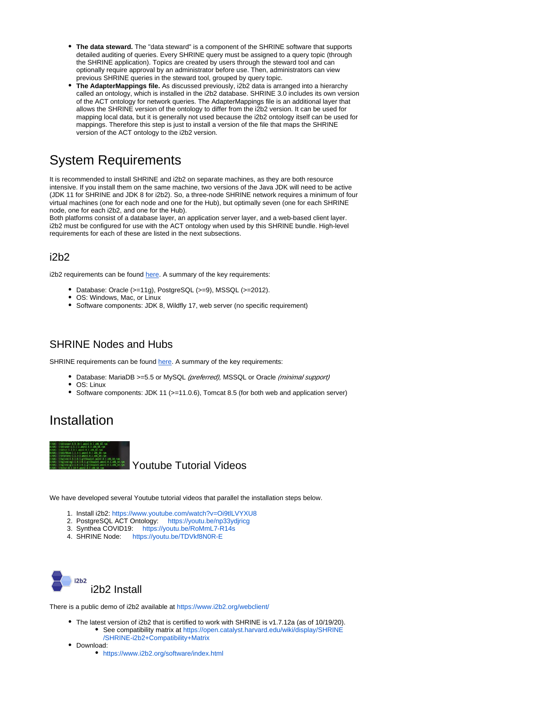- **The data steward.** The "data steward" is a component of the SHRINE software that supports detailed auditing of queries. Every SHRINE query must be assigned to a query topic (through the SHRINE application). Topics are created by users through the steward tool and can optionally require approval by an administrator before use. Then, administrators can view previous SHRINE queries in the steward tool, grouped by query topic.
- **The AdapterMappings file.** As discussed previously, i2b2 data is arranged into a hierarchy called an ontology, which is installed in the i2b2 database. SHRINE 3.0 includes its own version of the ACT ontology for network queries. The AdapterMappings file is an additional layer that allows the SHRINE version of the ontology to differ from the i2b2 version. It can be used for mapping local data, but it is generally not used because the i2b2 ontology itself can be used for mappings. Therefore this step is just to install a version of the file that maps the SHRINE version of the ACT ontology to the i2b2 version.

### System Requirements

It is recommended to install SHRINE and i2b2 on separate machines, as they are both resource intensive. If you install them on the same machine, two versions of the Java JDK will need to be active (JDK 11 for SHRINE and JDK 8 for i2b2). So, a three-node SHRINE network requires a minimum of four virtual machines (one for each node and one for the Hub), but optimally seven (one for each SHRINE node, one for each i2b2, and one for the Hub).

Both platforms consist of a database layer, an application server layer, and a web-based client layer. i2b2 must be configured for use with the ACT ontology when used by this SHRINE bundle. High-level requirements for each of these are listed in the next subsections.

### i2b2

i2b2 requirements can be found [here](https://community.i2b2.org/wiki/display/getstarted/Chapter+2.+Requirements). A summary of the key requirements:

- Database: Oracle (>=11g), PostgreSQL (>=9), MSSQL (>=2012).
- OS: Windows, Mac, or Linux
- Software components: JDK 8, Wildfly 17, web server (no specific requirement)

### SHRINE Nodes and Hubs

SHRINE requirements can be found [here](https://open.catalyst.harvard.edu/wiki/display/SHRINE/SHRINE+3.0.0+Chapter+2+-+Requirements). A summary of the key requirements:

- Database: MariaDB >=5.5 or MySQL (preferred), MSSQL or Oracle (minimal support)
- OS: Linux
- Software components: JDK 11 (>=11.0.6), Tomcat 8.5 (for both web and application server)

### Installation



We have developed several Youtube tutorial videos that parallel the installation steps below.

- 1. Install i2b2: [https://www.youtube.com/watch?v=Oi9tlLVYXU8](https://secure-web.cisco.com/1Aa49_xBJRQGkI6v_wO4HiGiDeUJW0hcjvn7bD5E0C10klqcMcmDZvkwRDxN1-c10Fqn2pwuGOlZTeF4XHZlOoomIE_uS1tFH1RZOR8Srben1phph_BMxHJFmP3QKch0cYqNGxRF-k3rK0Q_BKdSS1UuQOq67wHFxcjDJC5cls1JnlJhrI28kKDHFX8o--dmYFoSBvlPaJ17lmC392QJAG17ncGGOSkhhHt0UK8b-wraEXAP1il7kKpW7GlLOAHKbfXs3KaMt9azcjWM6b53zcw/https%3A%2F%2Fwww.youtube.com%2Fwatch%3Fv%3DOi9tlLVYXU8)
- 2. PostgreSQL ACT Ontology: [https://youtu.be/np33ydjricg](https://secure-web.cisco.com/15ubZ9jFxpKAjRHGcpbwN9X-y6O5PWj_g9Ou6Spnw4AdHavlh7Z4SLAikJxrBydT-M1oopoVEjMwBUKUXM4uJvnOxqokUa7FujdOVenC97xUBRZOhPhnnB5eraC-d-q5dW4itbpNQ9bv1nfWhm67mrdFF7hvbE5R-540rcCtDsQ8d1PsIMH9HUrX3ftg8Jwnt8BteXj50OLOlgOKKZT-YXc8MLfK4ay-tsIyPtcJOKujXvsR7JdNirQ1WuN8FhPggykWoG7cLpnDL43MOZzebWA/https%3A%2F%2Fyoutu.be%2Fnp33ydjricg)
- 3. Synthea COVID19: [https://youtu.be/RoMmL7-R14s](https://secure-web.cisco.com/1iACyjseDIJCafrmGgX4jt1HqpKhFbOjlYG-JZo-RGoujGOmT7TyvtdM1DXrlBbb5F9EYQYA6TswsKZIQB285v5W1B01DdH7WNmXgu_tV7ERjHKvP8wIaB7xhw600Ypz_1G3VIOZWa6ghIX-qMaqYVmtmzoVzpFi7c47ZJjg4TihClnPVUoDCSyMGqaGwArLJz3uE5xBkIcgPZkRNtY2XNEDIwK9eRd7sW3FnHYnIxA1xXEciHAbdas71-hGPt6UhviKKY-gwzeQ_b2AK9wGHGg/https%3A%2F%2Fyoutu.be%2FRoMmL7-R14s)
- 4. SHRINE Node: [https://youtu.be/TDVkf8N0R-E](https://secure-web.cisco.com/1Hm3P2EU82q5uvklPzTlILU3VPct5diKrCgaItLlvUADKcc8QkN9Zo5zObYArxXVAnDzSj4A4Lxq24Nz0TEJA8SjJh-zKS6p689asdmDGxrsZwQF6CcsC73rhBmkrB5BUxnZhBWHdAwydd5C8T720cwhzlYVlMBDOAj9qkxKqFa8bC3rD-unWIIM09NkcYL8-Fa_mv49p-zEz0mkajMB36EIatKVsDgUlsyFbunPGH_PfiAK3s5kr3qYT2lSHDd2PErGLayOJkg41O8q-lbLo0g/https%3A%2F%2Fyoutu.be%2FTDVkf8N0R-E)



There is a public demo of i2b2 available at<https://www.i2b2.org/webclient/>

- The latest version of i2b2 that is certified to work with SHRINE is v1.7.12a (as of 10/19/20). See compatibility matrix at [https://open.catalyst.harvard.edu/wiki/display/SHRINE](https://open.catalyst.harvard.edu/wiki/display/SHRINE/SHRINE-i2b2+Compatibility+Matrix) [/SHRINE-i2b2+Compatibility+Matrix](https://open.catalyst.harvard.edu/wiki/display/SHRINE/SHRINE-i2b2+Compatibility+Matrix)
- Download:
	- <https://www.i2b2.org/software/index.html>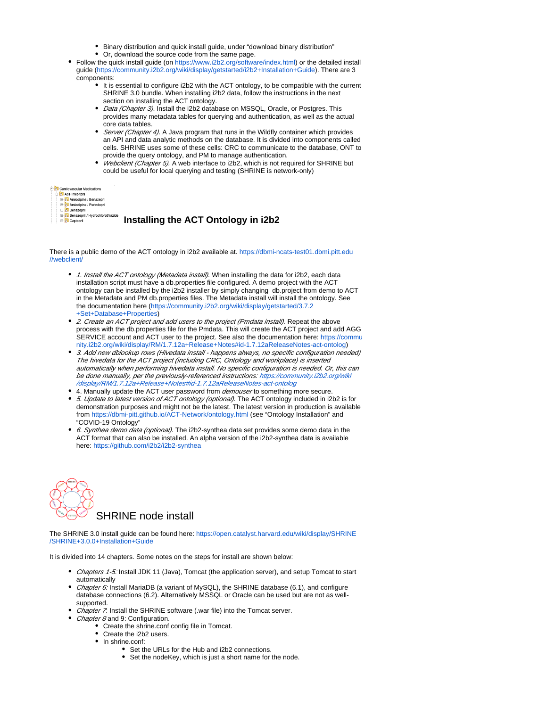- Binary distribution and quick install guide, under "download binary distribution"
- Or, download the source code from the same page.
- Follow the quick install quide (on [https://www.i2b2.org/software/index.html\)](https://www.i2b2.org/software/index.html) or the detailed install guide [\(https://community.i2b2.org/wiki/display/getstarted/i2b2+Installation+Guide\)](https://community.i2b2.org/wiki/display/getstarted/i2b2+Installation+Guide). There are 3 components:
	- It is essential to configure i2b2 with the ACT ontology, to be compatible with the current SHRINE 3.0 bundle. When installing i2b2 data, follow the instructions in the next section on installing the ACT ontology.
	- Data (Chapter 3). Install the i2b2 database on MSSQL, Oracle, or Postgres. This provides many metadata tables for querying and authentication, as well as the actual core data tables.
	- Server (Chapter 4). A Java program that runs in the Wildfly container which provides an API and data analytic methods on the database. It is divided into components called cells. SHRINE uses some of these cells: CRC to communicate to the database, ONT to provide the query ontology, and PM to manage authentication.
	- Webclient (Chapter 5). A web interface to i2b2, which is not required for SHRINE but could be useful for local querying and testing (SHRINE is network-only)

#### Cardiovascular Medica

| <b>E-C</b> Ace Inhibitors |                                    |
|---------------------------|------------------------------------|
|                           | <b>El</b> Amlodipine / Benazer     |
|                           | <b>El</b> -C Amlodipine / Perindor |
|                           | <b>CONTRACTOR</b>                  |

Benazepril / Hydrochlorothiazide **Captopril** 

 **Installing the ACT Ontology in i2b2**

There is a public demo of the ACT ontology in i2b2 available at. [https://dbmi-ncats-test01.dbmi.pitt.edu](https://dbmi-ncats-test01.dbmi.pitt.edu//webclient/) [//webclient/](https://dbmi-ncats-test01.dbmi.pitt.edu//webclient/)

- 1. Install the ACT ontology (Metadata install). When installing the data for i2b2, each data installation script must have a db.properties file configured. A demo project with the ACT ontology can be installed by the i2b2 installer by simply changing db.project from demo to ACT in the Metadata and PM db.properties files. The Metadata install will install the ontology. See the documentation here ([https://community.i2b2.org/wiki/display/getstarted/3.7.2](https://community.i2b2.org/wiki/display/getstarted/3.7.2+Set+Database+Properties) [+Set+Database+Properties](https://community.i2b2.org/wiki/display/getstarted/3.7.2+Set+Database+Properties))
- 2. Create an ACT project and add users to the project (Pmdata install). Repeat the above process with the db.properties file for the Pmdata. This will create the ACT project and add AGG SERVICE account and ACT user to the project. See also the documentation here: [https://commu](https://community.i2b2.org/wiki/display/RM/1.7.12a+Release+Notes#id-1.7.12aReleaseNotes-act-ontolog) [nity.i2b2.org/wiki/display/RM/1.7.12a+Release+Notes#id-1.7.12aReleaseNotes-act-ontolog](https://community.i2b2.org/wiki/display/RM/1.7.12a+Release+Notes#id-1.7.12aReleaseNotes-act-ontolog))
- 3. Add new dblookup rows (Hivedata install happens always, no specific configuration needed) The hivedata for the ACT project (including CRC, Ontology and workplace) is inserted automatically when performing hivedata install. No specific configuration is needed. Or, this can be done manually, per the previously-referenced instructions: [https://community.i2b2.org/wiki](https://community.i2b2.org/wiki/display/RM/1.7.12a+Release+Notes#id-1.7.12aReleaseNotes-act-ontolog) [/display/RM/1.7.12a+Release+Notes#id-1.7.12aReleaseNotes-act-ontolog](https://community.i2b2.org/wiki/display/RM/1.7.12a+Release+Notes#id-1.7.12aReleaseNotes-act-ontolog)
- 4. Manually update the ACT user password from *demouser* to something more secure.
- 5. Update to latest version of ACT ontology (optional). The ACT ontology included in i2b2 is for demonstration purposes and might not be the latest. The latest version in production is available from <https://dbmi-pitt.github.io/ACT-Network/ontology.html> (see "Ontology Installation" and "COVID-19 Ontology"
- 6. Synthea demo data (optional). The i2b2-synthea data set provides some demo data in the ACT format that can also be installed. An alpha version of the i2b2-synthea data is available here: <https://github.com/i2b2/i2b2-synthea>



The SHRINE 3.0 install guide can be found here: [https://open.catalyst.harvard.edu/wiki/display/SHRINE](https://open.catalyst.harvard.edu/wiki/display/SHRINE/SHRINE+3.0.0+Installation+Guide) [/SHRINE+3.0.0+Installation+Guide](https://open.catalyst.harvard.edu/wiki/display/SHRINE/SHRINE+3.0.0+Installation+Guide)

It is divided into 14 chapters. Some notes on the steps for install are shown below:

- Chapters 1-5: Install JDK 11 (Java), Tomcat (the application server), and setup Tomcat to start automatically
- Chapter 6: Install MariaDB (a variant of MySQL), the SHRINE database (6.1), and configure database connections (6.2). Alternatively MSSQL or Oracle can be used but are not as wellsupported.
- Chapter 7. Install the SHRINE software (.war file) into the Tomcat server.
	- Chapter 8 and 9: Configuration.
		- Create the shrine.conf config file in Tomcat.
		- Create the i2b2 users.
		- In shrine.conf:
			- Set the URLs for the Hub and i2b2 connections.
			- Set the nodeKey, which is just a short name for the node.